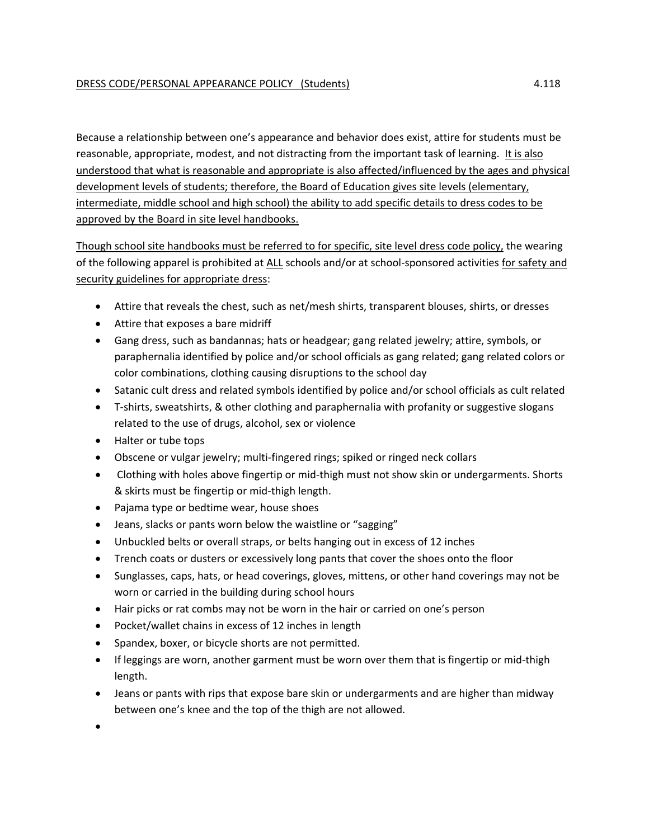Because a relationship between one's appearance and behavior does exist, attire for students must be reasonable, appropriate, modest, and not distracting from the important task of learning. It is also understood that what is reasonable and appropriate is also affected/influenced by the ages and physical development levels of students; therefore, the Board of Education gives site levels (elementary, intermediate, middle school and high school) the ability to add specific details to dress codes to be approved by the Board in site level handbooks.

Though school site handbooks must be referred to for specific, site level dress code policy, the wearing of the following apparel is prohibited at ALL schools and/or at school‐sponsored activities for safety and security guidelines for appropriate dress:

- Attire that reveals the chest, such as net/mesh shirts, transparent blouses, shirts, or dresses
- Attire that exposes a bare midriff
- Gang dress, such as bandannas; hats or headgear; gang related jewelry; attire, symbols, or paraphernalia identified by police and/or school officials as gang related; gang related colors or color combinations, clothing causing disruptions to the school day
- Satanic cult dress and related symbols identified by police and/or school officials as cult related
- T-shirts, sweatshirts, & other clothing and paraphernalia with profanity or suggestive slogans related to the use of drugs, alcohol, sex or violence
- Halter or tube tops
- Obscene or vulgar jewelry; multi-fingered rings; spiked or ringed neck collars
- Clothing with holes above fingertip or mid-thigh must not show skin or undergarments. Shorts & skirts must be fingertip or mid‐thigh length.
- Pajama type or bedtime wear, house shoes
- Jeans, slacks or pants worn below the waistline or "sagging"
- Unbuckled belts or overall straps, or belts hanging out in excess of 12 inches
- Trench coats or dusters or excessively long pants that cover the shoes onto the floor
- Sunglasses, caps, hats, or head coverings, gloves, mittens, or other hand coverings may not be worn or carried in the building during school hours
- Hair picks or rat combs may not be worn in the hair or carried on one's person
- Pocket/wallet chains in excess of 12 inches in length
- Spandex, boxer, or bicycle shorts are not permitted.
- If leggings are worn, another garment must be worn over them that is fingertip or mid-thigh length.
- Jeans or pants with rips that expose bare skin or undergarments and are higher than midway between one's knee and the top of the thigh are not allowed.

 $\blacksquare$